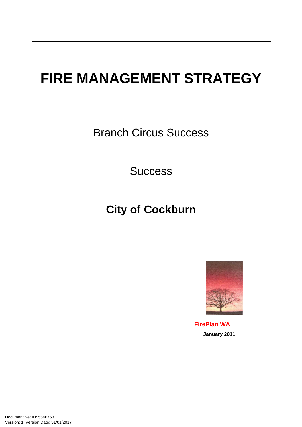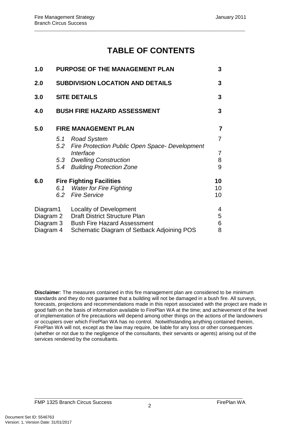# **TABLE OF CONTENTS**

\_\_\_\_\_\_\_\_\_\_\_\_\_\_\_\_\_\_\_\_\_\_\_\_\_\_\_\_\_\_\_\_\_\_\_\_\_\_\_\_\_\_\_\_\_\_\_\_\_\_\_\_\_\_\_\_\_\_\_\_\_\_\_\_\_\_\_\_\_\_\_\_\_\_\_\_\_\_\_\_\_\_\_

| 1.0       | PURPOSE OF THE MANAGEMENT PLAN          |                                                                          | 3              |
|-----------|-----------------------------------------|--------------------------------------------------------------------------|----------------|
| 2.0       | <b>SUBDIVISION LOCATION AND DETAILS</b> |                                                                          | 3              |
| 3.0       | <b>SITE DETAILS</b>                     |                                                                          | 3              |
| 4.0       |                                         | <b>BUSH FIRE HAZARD ASSESSMENT</b>                                       | 3              |
| 5.0       | <b>FIRE MANAGEMENT PLAN</b>             |                                                                          | $\overline{7}$ |
|           | 5.1                                     | <b>Road System</b><br>5.2 Fire Protection Public Open Space- Development | 7              |
|           |                                         | Interface                                                                | 7              |
|           |                                         | 5.3 Dwelling Construction                                                | 8              |
|           |                                         | 5.4 Building Protection Zone                                             | 9              |
| 6.0       | <b>Fire Fighting Facilities</b>         |                                                                          | 10             |
|           | 6.1                                     | <b>Water for Fire Fighting</b>                                           | 10             |
|           |                                         | 6.2 Fire Service                                                         | 10             |
| Diagram1  |                                         | <b>Locality of Development</b>                                           | 4              |
| Diagram 2 |                                         | <b>Draft District Structure Plan</b>                                     | 5              |
| Diagram 3 |                                         | <b>Bush Fire Hazard Assessment</b>                                       | 6              |
| Diagram 4 |                                         | Schematic Diagram of Setback Adjoining POS                               | 8              |

**Disclaime**r: The measures contained in this fire management plan are considered to be minimum standards and they do not guarantee that a building will not be damaged in a bush fire. All surveys, forecasts, projections and recommendations made in this report associated with the project are made in good faith on the basis of information available to FirePlan WA at the time; and achievement of the level of implementation of fire precautions will depend among other things on the actions of the landowners or occupiers over which FirePlan WA has no control. Notwithstanding anything contained therein, FirePlan WA will not, except as the law may require, be liable for any loss or other consequences (whether or not due to the negligence of the consultants, their servants or agents) arising out of the services rendered by the consultants.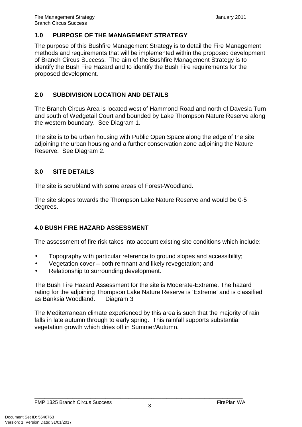#### \_\_\_\_\_\_\_\_\_\_\_\_\_\_\_\_\_\_\_\_\_\_\_\_\_\_\_\_\_\_\_\_\_\_\_\_\_\_\_\_\_\_\_\_\_\_\_\_\_\_\_\_\_\_\_\_\_\_\_\_\_\_\_\_\_\_\_\_\_\_\_\_\_\_\_\_\_\_\_\_\_\_\_ **1.0 PURPOSE OF THE MANAGEMENT STRATEGY**

The purpose of this Bushfire Management Strategy is to detail the Fire Management methods and requirements that will be implemented within the proposed development of Branch Circus Success. The aim of the Bushfire Management Strategy is to identify the Bush Fire Hazard and to identify the Bush Fire requirements for the proposed development.

## **2.0 SUBDIVISION LOCATION AND DETAILS**

The Branch Circus Area is located west of Hammond Road and north of Davesia Turn and south of Wedgetail Court and bounded by Lake Thompson Nature Reserve along the western boundary. See Diagram 1.

The site is to be urban housing with Public Open Space along the edge of the site adjoining the urban housing and a further conservation zone adjoining the Nature Reserve. See Diagram 2.

# **3.0 SITE DETAILS**

The site is scrubland with some areas of Forest-Woodland.

The site slopes towards the Thompson Lake Nature Reserve and would be 0-5 degrees.

## **4.0 BUSH FIRE HAZARD ASSESSMENT**

The assessment of fire risk takes into account existing site conditions which include:

- Topography with particular reference to ground slopes and accessibility;
- Vegetation cover both remnant and likely revegetation; and
- Relationship to surrounding development.

The Bush Fire Hazard Assessment for the site is Moderate-Extreme. The hazard rating for the adjoining Thompson Lake Nature Reserve is 'Extreme' and is classified as Banksia Woodland. Diagram 3

The Mediterranean climate experienced by this area is such that the majority of rain falls in late autumn through to early spring. This rainfall supports substantial vegetation growth which dries off in Summer/Autumn.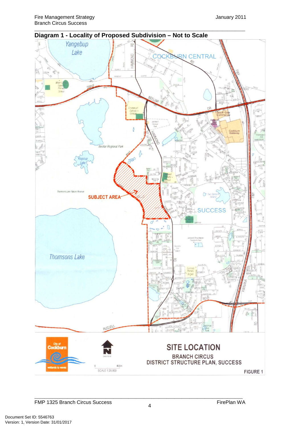

**Diagram 1 - Locality of Proposed Subdivision – Not to Scale** 

\_\_\_\_\_\_\_\_\_\_\_\_\_\_\_\_\_\_\_\_\_\_\_\_\_\_\_\_\_\_\_\_\_\_\_\_\_\_\_\_\_\_\_\_\_\_\_\_\_\_\_\_\_\_\_\_\_\_\_\_\_\_\_\_\_\_\_\_\_\_\_\_\_\_\_\_\_\_\_\_\_\_\_

FMP 1325 Branch Circus Success FirePlan WA

\_\_\_\_\_\_\_\_\_\_\_\_\_\_\_\_\_\_\_\_\_\_\_\_\_\_\_\_\_\_\_\_\_\_\_\_\_\_\_\_\_\_\_\_\_\_\_\_\_\_\_\_\_\_\_\_\_\_\_\_\_\_\_\_\_\_\_\_\_\_\_\_\_\_\_\_\_\_\_\_\_\_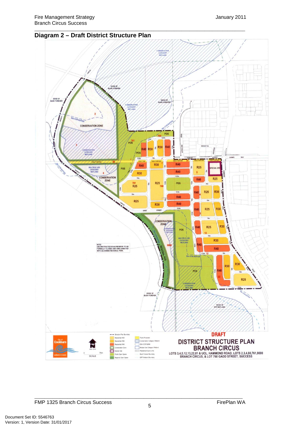### **Diagram 2 – Draft District Structure Plan**



\_\_\_\_\_\_\_\_\_\_\_\_\_\_\_\_\_\_\_\_\_\_\_\_\_\_\_\_\_\_\_\_\_\_\_\_\_\_\_\_\_\_\_\_\_\_\_\_\_\_\_\_\_\_\_\_\_\_\_\_\_\_\_\_\_\_\_\_\_\_\_\_\_\_\_\_\_\_\_\_\_\_\_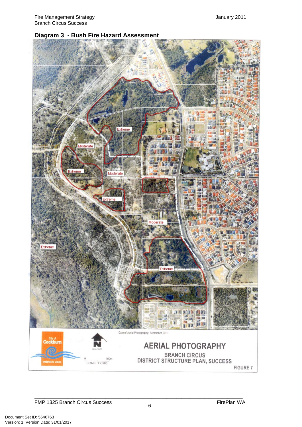

\_\_\_\_\_\_\_\_\_\_\_\_\_\_\_\_\_\_\_\_\_\_\_\_\_\_\_\_\_\_\_\_\_\_\_\_\_\_\_\_\_\_\_\_\_\_\_\_\_\_\_\_\_\_\_\_\_\_\_\_\_\_\_\_\_\_\_\_\_\_\_\_\_\_\_\_\_\_\_\_\_\_\_

#### **Diagram 3 - Bush Fire Hazard Assessment**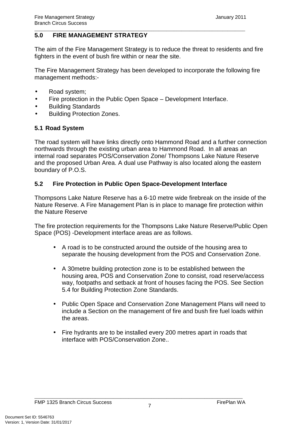### **5.0 FIRE MANAGEMENT STRATEGY**

The aim of the Fire Management Strategy is to reduce the threat to residents and fire fighters in the event of bush fire within or near the site.

\_\_\_\_\_\_\_\_\_\_\_\_\_\_\_\_\_\_\_\_\_\_\_\_\_\_\_\_\_\_\_\_\_\_\_\_\_\_\_\_\_\_\_\_\_\_\_\_\_\_\_\_\_\_\_\_\_\_\_\_\_\_\_\_\_\_\_\_\_\_\_\_\_\_\_\_\_\_\_\_\_\_\_

The Fire Management Strategy has been developed to incorporate the following fire management methods:-

- Road system;
- Fire protection in the Public Open Space Development Interface.
- Building Standards
- Building Protection Zones.

### **5.1 Road System**

The road system will have links directly onto Hammond Road and a further connection northwards through the existing urban area to Hammond Road. In all areas an internal road separates POS/Conservation Zone/ Thompsons Lake Nature Reserve and the proposed Urban Area. A dual use Pathway is also located along the eastern boundary of P.O.S.

### **5.2 Fire Protection in Public Open Space-Development Interface**

Thompsons Lake Nature Reserve has a 6-10 metre wide firebreak on the inside of the Nature Reserve. A Fire Management Plan is in place to manage fire protection within the Nature Reserve

The fire protection requirements for the Thompsons Lake Nature Reserve/Public Open Space (POS) -Development interface areas are as follows.

- A road is to be constructed around the outside of the housing area to separate the housing development from the POS and Conservation Zone.
- A 30metre building protection zone is to be established between the housing area, POS and Conservation Zone to consist, road reserve/access way, footpaths and setback at front of houses facing the POS. See Section 5.4 for Building Protection Zone Standards.
- Public Open Space and Conservation Zone Management Plans will need to include a Section on the management of fire and bush fire fuel loads within the areas.
- Fire hydrants are to be installed every 200 metres apart in roads that interface with POS/Conservation Zone..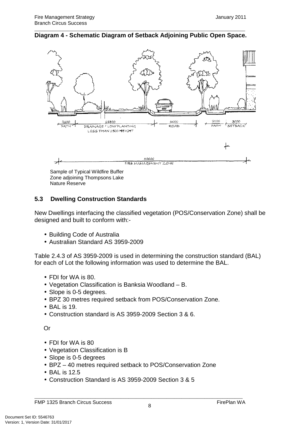#### \_\_\_\_\_\_\_\_\_\_\_\_\_\_\_\_\_\_\_\_\_\_\_\_\_\_\_\_\_\_\_\_\_\_\_\_\_\_\_\_\_\_\_\_\_\_\_\_\_\_\_\_\_\_\_\_\_\_\_\_\_\_\_\_\_\_\_\_\_\_\_\_\_\_\_\_\_\_\_\_\_\_\_ **Diagram 4 - Schematic Diagram of Setback Adjoining Public Open Space.**



Nature Reserve

### **5.3 Dwelling Construction Standards**

New Dwellings interfacing the classified vegetation (POS/Conservation Zone) shall be designed and built to conform with:-

- Building Code of Australia
- Australian Standard AS 3959-2009

Table 2.4.3 of AS 3959-2009 is used in determining the construction standard (BAL) for each of Lot the following information was used to determine the BAL.

- FDI for WA is 80.
- Vegetation Classification is Banksia Woodland B.
- Slope is 0-5 degrees.
- BPZ 30 metres required setback from POS/Conservation Zone.
- BAL is 19.
- Construction standard is AS 3959-2009 Section 3 & 6.

Or

- FDI for WA is 80
- Vegetation Classification is B
- Slope is 0-5 degrees
- BPZ 40 metres required setback to POS/Conservation Zone
- BAL is 12.5
- Construction Standard is AS 3959-2009 Section 3 & 5

\_\_\_\_\_\_\_\_\_\_\_\_\_\_\_\_\_\_\_\_\_\_\_\_\_\_\_\_\_\_\_\_\_\_\_\_\_\_\_\_\_\_\_\_\_\_\_\_\_\_\_\_\_\_\_\_\_\_\_\_\_\_\_\_\_\_\_\_\_\_\_\_\_\_\_\_\_\_\_\_\_\_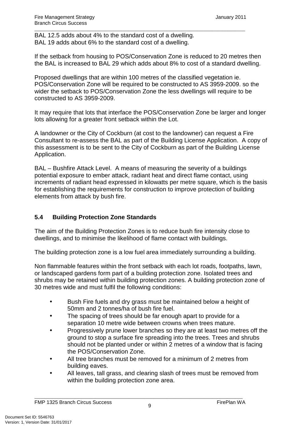BAL 12.5 adds about 4% to the standard cost of a dwelling. BAL 19 adds about 6% to the standard cost of a dwelling.

If the setback from housing to POS/Conservation Zone is reduced to 20 metres then the BAL is increased to BAL 29 which adds about 8% to cost of a standard dwelling.

\_\_\_\_\_\_\_\_\_\_\_\_\_\_\_\_\_\_\_\_\_\_\_\_\_\_\_\_\_\_\_\_\_\_\_\_\_\_\_\_\_\_\_\_\_\_\_\_\_\_\_\_\_\_\_\_\_\_\_\_\_\_\_\_\_\_\_\_\_\_\_\_\_\_\_\_\_\_\_\_\_\_\_

Proposed dwellings that are within 100 metres of the classified vegetation ie. POS/Conservation Zone will be required to be constructed to AS 3959-2009. so the wider the setback to POS/Conservation Zone the less dwellings will require to be constructed to AS 3959-2009.

It may require that lots that interface the POS/Conservation Zone be larger and longer lots allowing for a greater front setback within the Lot.

A landowner or the City of Cockburn (at cost to the landowner) can request a Fire Consultant to re-assess the BAL as part of the Building License Application. A copy of this assessment is to be sent to the City of Cockburn as part of the Building License Application.

BAL – Bushfire Attack Level. A means of measuring the severity of a buildings potential exposure to ember attack, radiant heat and direct flame contact, using increments of radiant head expressed in kilowatts per metre square, which is the basis for establishing the requirements for construction to improve protection of building elements from attack by bush fire.

# **5.4 Building Protection Zone Standards**

The aim of the Building Protection Zones is to reduce bush fire intensity close to dwellings, and to minimise the likelihood of flame contact with buildings.

The building protection zone is a low fuel area immediately surrounding a building.

Non flammable features within the front setback with each lot roads, footpaths, lawn, or landscaped gardens form part of a building protection zone. Isolated trees and shrubs may be retained within building protection zones. A building protection zone of 30 metres wide and must fulfil the following conditions:

- Bush Fire fuels and dry grass must be maintained below a height of 50mm and 2 tonnes/ha of bush fire fuel.
- The spacing of trees should be far enough apart to provide for a separation 10 metre wide between crowns when trees mature.
- Progressively prune lower branches so they are at least two metres off the ground to stop a surface fire spreading into the trees. Trees and shrubs should not be planted under or within 2 metres of a window that is facing the POS/Conservation Zone.
- All tree branches must be removed for a minimum of 2 metres from building eaves.
- All leaves, tall grass, and clearing slash of trees must be removed from within the building protection zone area.